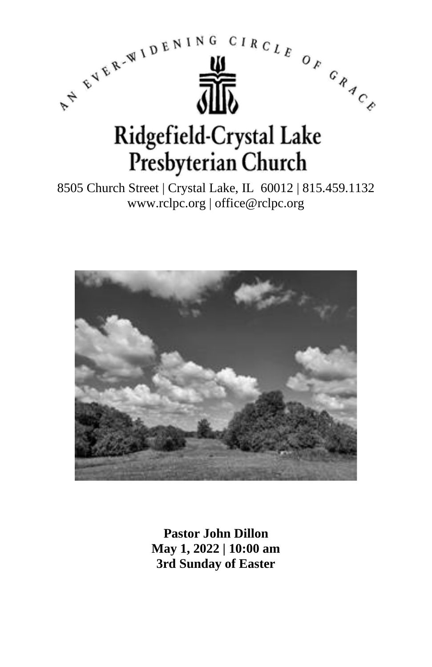

8505 Church Street | Crystal Lake, IL 60012 | 815.459.1132 www.rclpc.org | office@rclpc.org



**Pastor John Dillon May 1, 2022 | 10:00 am 3rd Sunday of Easter**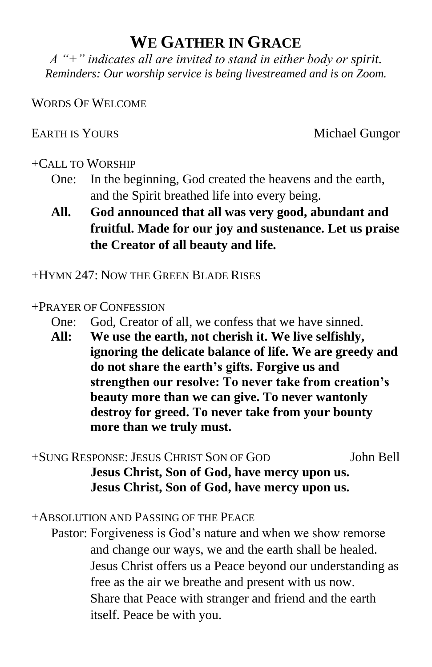# **WE GATHER IN GRACE**

*A "+" indicates all are invited to stand in either body or spirit. Reminders: Our worship service is being livestreamed and is on Zoom.*

WORDS OF WELCOME

EARTH IS YOURS Michael Gungor

#### +CALL TO WORSHIP

- One: In the beginning, God created the heavens and the earth, and the Spirit breathed life into every being.
- **All. God announced that all was very good, abundant and fruitful. Made for our joy and sustenance. Let us praise the Creator of all beauty and life.**

+HYMN 247: NOW THE GREEN BLADE RISES

- +PRAYER OF CONFESSION
	- One: God, Creator of all, we confess that we have sinned.
	- **All: We use the earth, not cherish it. We live selfishly, ignoring the delicate balance of life. We are greedy and do not share the earth's gifts. Forgive us and strengthen our resolve: To never take from creation's beauty more than we can give. To never wantonly destroy for greed. To never take from your bounty more than we truly must.**

| +SUNG RESPONSE: JESUS CHRIST SON OF GOD       | John Bell |
|-----------------------------------------------|-----------|
| Jesus Christ, Son of God, have mercy upon us. |           |
| Jesus Christ, Son of God, have mercy upon us. |           |

+ABSOLUTION AND PASSING OF THE PEACE

Pastor: Forgiveness is God's nature and when we show remorse and change our ways, we and the earth shall be healed. Jesus Christ offers us a Peace beyond our understanding as free as the air we breathe and present with us now. Share that Peace with stranger and friend and the earth itself. Peace be with you.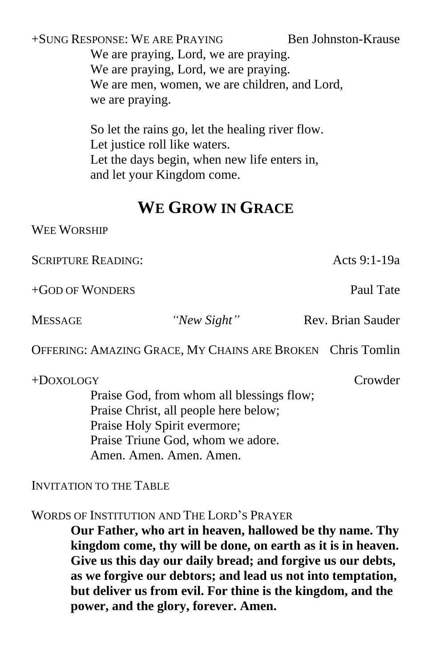+SUNG RESPONSE: WE ARE PRAYING Ben Johnston-Krause We are praying, Lord, we are praying. We are praying, Lord, we are praying. We are men, women, we are children, and Lord, we are praying.

> So let the rains go, let the healing river flow. Let justice roll like waters. Let the days begin, when new life enters in, and let your Kingdom come.

# **WE GROW IN GRACE**

WEE WORSHIP

SCRIPTURE READING: Acts 9:1-19a

+GOD OF WONDERS Paul Tate

OFFERING: AMAZING GRACE, MY CHAINS ARE BROKEN Chris Tomlin

+DOXOLOGY Crowder Praise God, from whom all blessings flow; Praise Christ, all people here below; Praise Holy Spirit evermore; Praise Triune God, whom we adore. Amen. Amen. Amen. Amen.

#### INVITATION TO THE TABLE

#### WORDS OF INSTITUTION AND THE LORD'S PRAYER

**Our Father, who art in heaven, hallowed be thy name. Thy kingdom come, thy will be done, on earth as it is in heaven. Give us this day our daily bread; and forgive us our debts, as we forgive our debtors; and lead us not into temptation, but deliver us from evil. For thine is the kingdom, and the power, and the glory, forever. Amen.**

MESSAGE *"New Sight"* Rev. Brian Sauder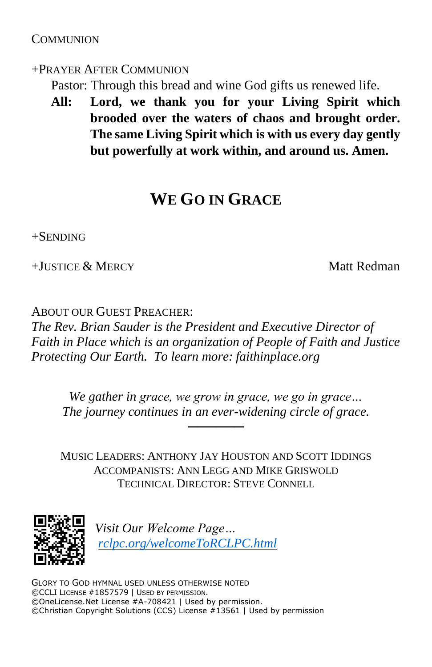**COMMUNION** 

#### +PRAYER AFTER COMMUNION

Pastor: Through this bread and wine God gifts us renewed life.

**All: Lord, we thank you for your Living Spirit which brooded over the waters of chaos and brought order. The same Living Spirit which is with us every day gently but powerfully at work within, and around us. Amen.**

# **WE GO IN GRACE**

+SENDING

+JUSTICE & MERCY Matt Redman

#### ABOUT OUR GUEST PREACHER:

*The Rev. Brian Sauder is the President and Executive Director of Faith in Place which is an organization of People of Faith and Justice Protecting Our Earth. To learn more: faithinplace.org*

*We gather in grace, we grow in grace, we go in grace… The journey continues in an ever-widening circle of grace.*

──────

MUSIC LEADERS: ANTHONY JAY HOUSTON AND SCOTT IDDINGS ACCOMPANISTS: ANN LEGG AND MIKE GRISWOLD TECHNICAL DIRECTOR: STEVE CONNELL



*Visit Our Welcome Page… [rclpc.org/welcomeToRCLPC.html](http://rclpc.org/welcomeToRCLPC.html)*

GLORY TO GOD HYMNAL USED UNLESS OTHERWISE NOTED ©CCLI LICENSE #1857579 | USED BY PERMISSION. ©OneLicense.Net License #A-708421 | Used by permission. ©Christian Copyright Solutions (CCS) License #13561 | Used by permission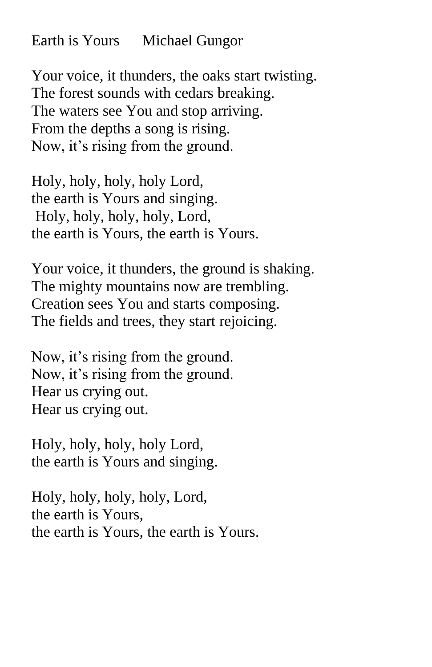### Earth is Yours Michael Gungor

Your voice, it thunders, the oaks start twisting. The forest sounds with cedars breaking. The waters see You and stop arriving. From the depths a song is rising. Now, it's rising from the ground.

Holy, holy, holy, holy Lord, the earth is Yours and singing. Holy, holy, holy, holy, Lord, the earth is Yours, the earth is Yours.

Your voice, it thunders, the ground is shaking. The mighty mountains now are trembling. Creation sees You and starts composing. The fields and trees, they start rejoicing.

Now, it's rising from the ground. Now, it's rising from the ground. Hear us crying out. Hear us crying out.

Holy, holy, holy, holy Lord, the earth is Yours and singing.

Holy, holy, holy, holy, Lord, the earth is Yours, the earth is Yours, the earth is Yours.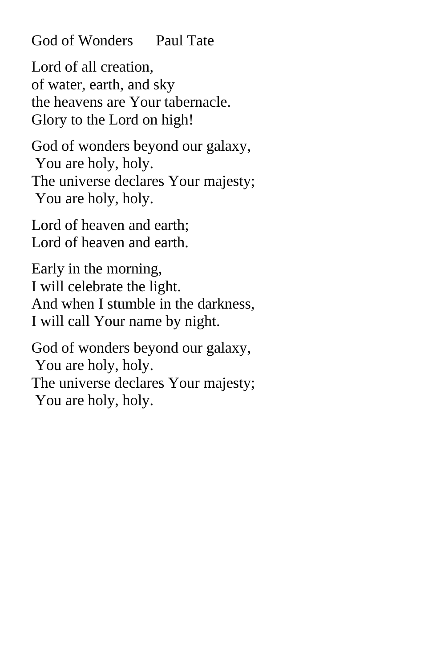God of Wonders Paul Tate

Lord of all creation, of water, earth, and sky the heavens are Your tabernacle. Glory to the Lord on high!

God of wonders beyond our galaxy, You are holy, holy. The universe declares Your majesty; You are holy, holy.

Lord of heaven and earth; Lord of heaven and earth.

Early in the morning, I will celebrate the light. And when I stumble in the darkness, I will call Your name by night.

God of wonders beyond our galaxy, You are holy, holy. The universe declares Your majesty; You are holy, holy.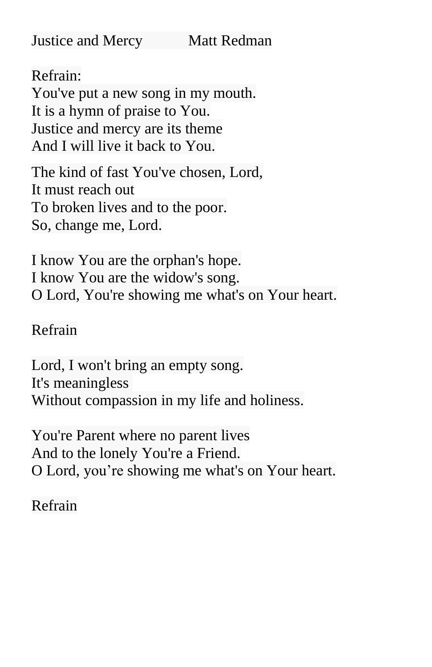Justice and Mercy Matt Redman

Refrain: You've put a new song in my mouth. It is a hymn of praise to You. Justice and mercy are its theme And I will live it back to You.

The kind of fast You've chosen, Lord, It must reach out To broken lives and to the poor. So, change me, Lord.

I know You are the orphan's hope. I know You are the widow's song. O Lord, You're showing me what's on Your heart.

Refrain

Lord, I won't bring an empty song. It's meaningless Without compassion in my life and holiness.

You're Parent where no parent lives And to the lonely You're a Friend. O Lord, you're showing me what's on Your heart.

Refrain